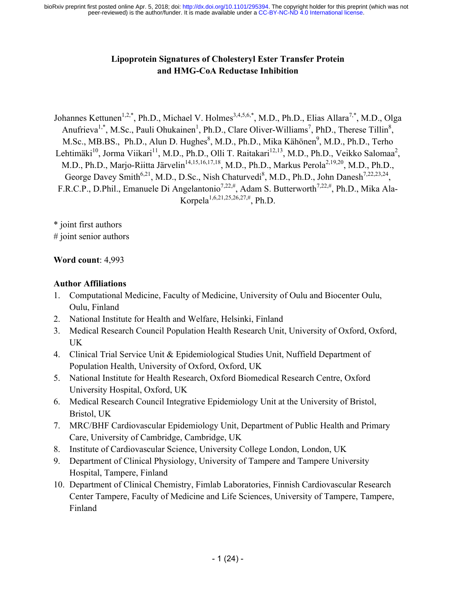### **Lipoprotein Signatures of Cholesteryl Ester Transfer Protein and HMG-CoA Reductase Inhibition**

Johannes Kettunen<sup>1,2,\*</sup>, Ph.D., Michael V. Holmes<sup>3,4,5,6,\*</sup>, M.D., Ph.D., Elias Allara<sup>7,\*</sup>, M.D., Olga Anufrieva<sup>1,\*</sup>, M.Sc., Pauli Ohukainen<sup>1</sup>, Ph.D., Clare Oliver-Williams<sup>7</sup>, PhD., Therese Tillin<sup>8</sup>, M.Sc., MB.BS., Ph.D., Alun D. Hughes<sup>8</sup>, M.D., Ph.D., Mika Kähönen<sup>9</sup>, M.D., Ph.D., Terho Lehtimäki<sup>10</sup>, Jorma Viikari<sup>11</sup>, M.D., Ph.D., Olli T. Raitakari<sup>12,13</sup>, M.D., Ph.D., Veikko Salomaa<sup>2</sup>, M.D., Ph.D., Marjo-Riitta Järvelin<sup>14,15,16,17,18</sup>, M.D., Ph.D., Markus Perola<sup>2,19,20</sup>, M.D., Ph.D., George Davey Smith<sup>6,21</sup>, M.D., D.Sc., Nish Chaturvedi<sup>8</sup>, M.D., Ph.D., John Danesh<sup>7,22,23,24</sup>, F.R.C.P., D.Phil., Emanuele Di Angelantonio<sup>7,22,#</sup>, Adam S. Butterworth<sup>7,22,#</sup>, Ph.D., Mika Ala-Korpela<sup>1,6,21,25,26,27,#</sup>, Ph.D.

\* joint first authors # joint senior authors

#### **Word count**: 4,993

#### **Author Affiliations**

- 1. Computational Medicine, Faculty of Medicine, University of Oulu and Biocenter Oulu, Oulu, Finland
- 2. National Institute for Health and Welfare, Helsinki, Finland
- 3. Medical Research Council Population Health Research Unit, University of Oxford, Oxford, UK
- 4. Clinical Trial Service Unit & Epidemiological Studies Unit, Nuffield Department of Population Health, University of Oxford, Oxford, UK
- 5. National Institute for Health Research, Oxford Biomedical Research Centre, Oxford University Hospital, Oxford, UK
- 6. Medical Research Council Integrative Epidemiology Unit at the University of Bristol, Bristol, UK
- 7. MRC/BHF Cardiovascular Epidemiology Unit, Department of Public Health and Primary Care, University of Cambridge, Cambridge, UK
- 8. Institute of Cardiovascular Science, University College London, London, UK
- 9. Department of Clinical Physiology, University of Tampere and Tampere University Hospital, Tampere, Finland
- 10. Department of Clinical Chemistry, Fimlab Laboratories, Finnish Cardiovascular Research Center Tampere, Faculty of Medicine and Life Sciences, University of Tampere, Tampere, Finland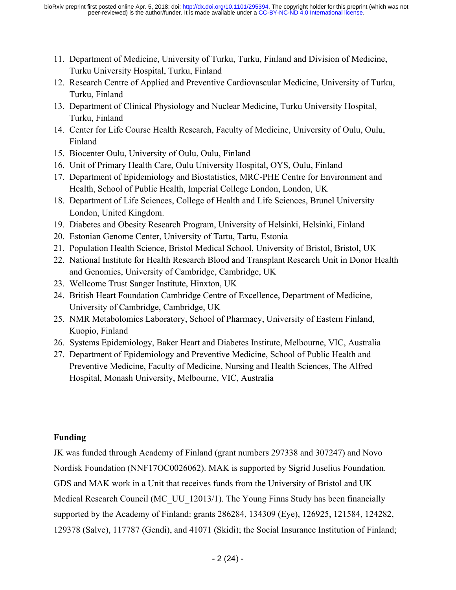- 11. Department of Medicine, University of Turku, Turku, Finland and Division of Medicine, Turku University Hospital, Turku, Finland
- 12. Research Centre of Applied and Preventive Cardiovascular Medicine, University of Turku, Turku, Finland
- 13. Department of Clinical Physiology and Nuclear Medicine, Turku University Hospital, Turku, Finland
- 14. Center for Life Course Health Research, Faculty of Medicine, University of Oulu, Oulu, Finland
- 15. Biocenter Oulu, University of Oulu, Oulu, Finland
- 16. Unit of Primary Health Care, Oulu University Hospital, OYS, Oulu, Finland
- 17. Department of Epidemiology and Biostatistics, MRC-PHE Centre for Environment and Health, School of Public Health, Imperial College London, London, UK
- 18. Department of Life Sciences, College of Health and Life Sciences, Brunel University London, United Kingdom.
- 19. Diabetes and Obesity Research Program, University of Helsinki, Helsinki, Finland
- 20. Estonian Genome Center, University of Tartu, Tartu, Estonia
- 21. Population Health Science, Bristol Medical School, University of Bristol, Bristol, UK
- 22. National Institute for Health Research Blood and Transplant Research Unit in Donor Health and Genomics, University of Cambridge, Cambridge, UK
- 23. Wellcome Trust Sanger Institute, Hinxton, UK
- 24. British Heart Foundation Cambridge Centre of Excellence, Department of Medicine, University of Cambridge, Cambridge, UK
- 25. NMR Metabolomics Laboratory, School of Pharmacy, University of Eastern Finland, Kuopio, Finland
- 26. Systems Epidemiology, Baker Heart and Diabetes Institute, Melbourne, VIC, Australia
- 27. Department of Epidemiology and Preventive Medicine, School of Public Health and Preventive Medicine, Faculty of Medicine, Nursing and Health Sciences, The Alfred Hospital, Monash University, Melbourne, VIC, Australia

### **Funding**

JK was funded through Academy of Finland (grant numbers 297338 and 307247) and Novo Nordisk Foundation (NNF17OC0026062). MAK is supported by Sigrid Juselius Foundation. GDS and MAK work in a Unit that receives funds from the University of Bristol and UK Medical Research Council (MC\_UU\_12013/1). The Young Finns Study has been financially supported by the Academy of Finland: grants 286284, 134309 (Eye), 126925, 121584, 124282, 129378 (Salve), 117787 (Gendi), and 41071 (Skidi); the Social Insurance Institution of Finland;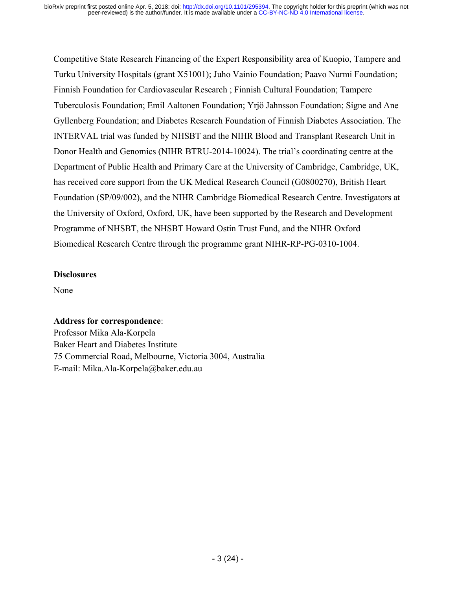Competitive State Research Financing of the Expert Responsibility area of Kuopio, Tampere and Turku University Hospitals (grant X51001); Juho Vainio Foundation; Paavo Nurmi Foundation; Finnish Foundation for Cardiovascular Research ; Finnish Cultural Foundation; Tampere Tuberculosis Foundation; Emil Aaltonen Foundation; Yrjö Jahnsson Foundation; Signe and Ane Gyllenberg Foundation; and Diabetes Research Foundation of Finnish Diabetes Association. The INTERVAL trial was funded by NHSBT and the NIHR Blood and Transplant Research Unit in Donor Health and Genomics (NIHR BTRU-2014-10024). The trial's coordinating centre at the Department of Public Health and Primary Care at the University of Cambridge, Cambridge, UK, has received core support from the UK Medical Research Council (G0800270), British Heart Foundation (SP/09/002), and the NIHR Cambridge Biomedical Research Centre. Investigators at the University of Oxford, Oxford, UK, have been supported by the Research and Development Programme of NHSBT, the NHSBT Howard Ostin Trust Fund, and the NIHR Oxford Biomedical Research Centre through the programme grant NIHR-RP-PG-0310-1004.

#### **Disclosures**

None

#### **Address for correspondence**:

Professor Mika Ala-Korpela Baker Heart and Diabetes Institute 75 Commercial Road, Melbourne, Victoria 3004, Australia E-mail: Mika.Ala-Korpela@baker.edu.au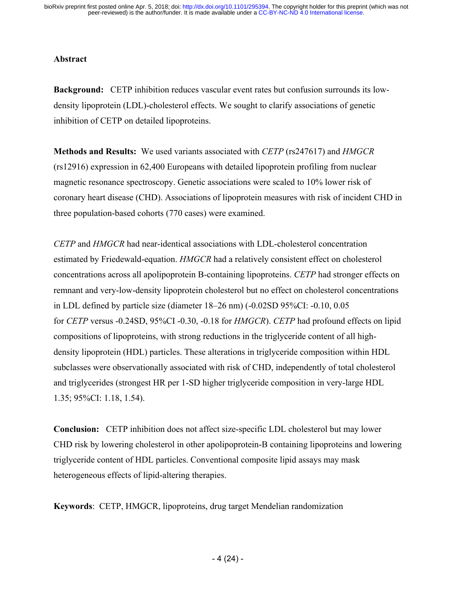#### **Abstract**

**Background:** CETP inhibition reduces vascular event rates but confusion surrounds its lowdensity lipoprotein (LDL)-cholesterol effects. We sought to clarify associations of genetic inhibition of CETP on detailed lipoproteins.

**Methods and Results:** We used variants associated with *CETP* (rs247617) and *HMGCR* (rs12916) expression in 62,400 Europeans with detailed lipoprotein profiling from nuclear magnetic resonance spectroscopy. Genetic associations were scaled to 10% lower risk of coronary heart disease (CHD). Associations of lipoprotein measures with risk of incident CHD in three population-based cohorts (770 cases) were examined.

*CETP* and *HMGCR* had near-identical associations with LDL-cholesterol concentration estimated by Friedewald-equation. *HMGCR* had a relatively consistent effect on cholesterol concentrations across all apolipoprotein B-containing lipoproteins. *CETP* had stronger effects on remnant and very-low-density lipoprotein cholesterol but no effect on cholesterol concentrations in LDL defined by particle size (diameter 18–26 nm) (-0.02SD 95%CI: -0.10, 0.05 for *CETP* versus -0.24SD, 95%CI -0.30, -0.18 for *HMGCR*). *CETP* had profound effects on lipid compositions of lipoproteins, with strong reductions in the triglyceride content of all highdensity lipoprotein (HDL) particles. These alterations in triglyceride composition within HDL subclasses were observationally associated with risk of CHD, independently of total cholesterol and triglycerides (strongest HR per 1-SD higher triglyceride composition in very-large HDL 1.35; 95%CI: 1.18, 1.54).

**Conclusion:** CETP inhibition does not affect size-specific LDL cholesterol but may lower CHD risk by lowering cholesterol in other apolipoprotein-B containing lipoproteins and lowering triglyceride content of HDL particles. Conventional composite lipid assays may mask heterogeneous effects of lipid-altering therapies.

**Keywords**: CETP, HMGCR, lipoproteins, drug target Mendelian randomization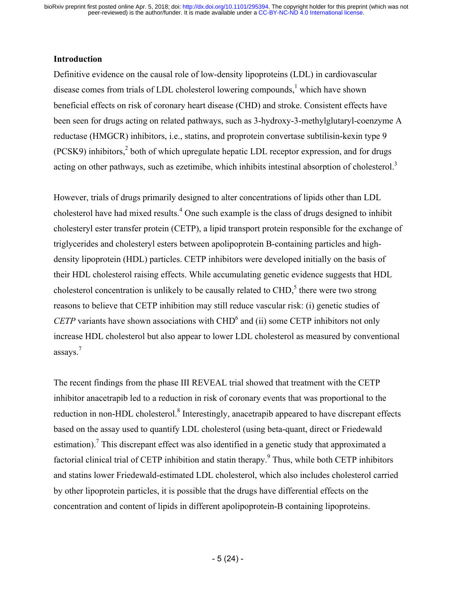#### **Introduction**

Definitive evidence on the causal role of low-density lipoproteins (LDL) in cardiovascular disease comes from trials of LDL cholesterol lowering compounds, $<sup>1</sup>$  which have shown</sup> beneficial effects on risk of coronary heart disease (CHD) and stroke. Consistent effects have been seen for drugs acting on related pathways, such as 3-hydroxy-3-methylglutaryl-coenzyme A reductase (HMGCR) inhibitors, i.e., statins, and proprotein convertase subtilisin-kexin type 9  $(PCSK9)$  inhibitors,<sup>2</sup> both of which upregulate hepatic LDL receptor expression, and for drugs acting on other pathways, such as ezetimibe, which inhibits intestinal absorption of cholesterol.<sup>3</sup>

However, trials of drugs primarily designed to alter concentrations of lipids other than LDL cholesterol have had mixed results. <sup>4</sup> One such example is the class of drugs designed to inhibit cholesteryl ester transfer protein (CETP), a lipid transport protein responsible for the exchange of triglycerides and cholesteryl esters between apolipoprotein B-containing particles and highdensity lipoprotein (HDL) particles. CETP inhibitors were developed initially on the basis of their HDL cholesterol raising effects. While accumulating genetic evidence suggests that HDL cholesterol concentration is unlikely to be causally related to  $CHD<sub>1</sub><sup>5</sup>$  there were two strong reasons to believe that CETP inhibition may still reduce vascular risk: (i) genetic studies of *CETP* variants have shown associations with CHD<sup>6</sup> and (ii) some CETP inhibitors not only increase HDL cholesterol but also appear to lower LDL cholesterol as measured by conventional assays. 7

The recent findings from the phase III REVEAL trial showed that treatment with the CETP inhibitor anacetrapib led to a reduction in risk of coronary events that was proportional to the reduction in non-HDL cholesterol.<sup>8</sup> Interestingly, anacetrapib appeared to have discrepant effects based on the assay used to quantify LDL cholesterol (using beta-quant, direct or Friedewald estimation).<sup>7</sup> This discrepant effect was also identified in a genetic study that approximated a factorial clinical trial of CETP inhibition and statin therapy.<sup>9</sup> Thus, while both CETP inhibitors and statins lower Friedewald-estimated LDL cholesterol, which also includes cholesterol carried by other lipoprotein particles, it is possible that the drugs have differential effects on the concentration and content of lipids in different apolipoprotein-B containing lipoproteins.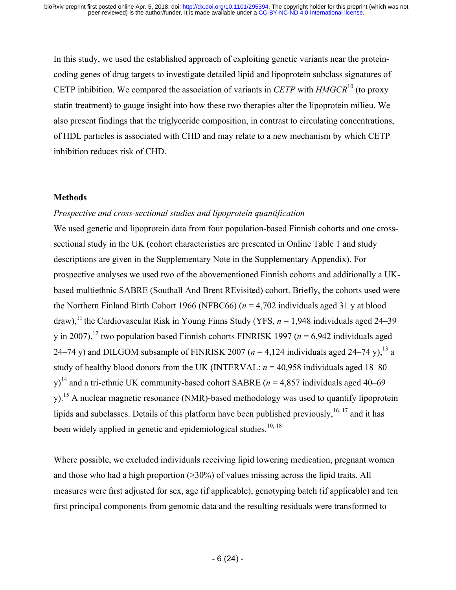In this study, we used the established approach of exploiting genetic variants near the proteincoding genes of drug targets to investigate detailed lipid and lipoprotein subclass signatures of CETP inhibition. We compared the association of variants in *CETP* with *HMGCR*<sup>10</sup> (to proxy statin treatment) to gauge insight into how these two therapies alter the lipoprotein milieu. We also present findings that the triglyceride composition, in contrast to circulating concentrations, of HDL particles is associated with CHD and may relate to a new mechanism by which CETP inhibition reduces risk of CHD.

#### **Methods**

#### *Prospective and cross-sectional studies and lipoprotein quantification*

We used genetic and lipoprotein data from four population-based Finnish cohorts and one crosssectional study in the UK (cohort characteristics are presented in Online Table 1 and study descriptions are given in the Supplementary Note in the Supplementary Appendix). For prospective analyses we used two of the abovementioned Finnish cohorts and additionally a UKbased multiethnic SABRE (Southall And Brent REvisited) cohort. Briefly, the cohorts used were the Northern Finland Birth Cohort 1966 (NFBC66) (*n* = 4,702 individuals aged 31 y at blood draw),<sup>11</sup> the Cardiovascular Risk in Young Finns Study (YFS,  $n = 1.948$  individuals aged 24–39 y in 2007),<sup>12</sup> two population based Finnish cohorts FINRISK 1997 ( $n = 6.942$  individuals aged 24–74 y) and DILGOM subsample of FINRISK 2007 ( $n = 4,124$  individuals aged 24–74 y),<sup>13</sup> a study of healthy blood donors from the UK (INTERVAL:  $n = 40,958$  individuals aged 18–80 y)<sup>14</sup> and a tri-ethnic UK community-based cohort SABRE ( $n = 4,857$  individuals aged 40–69 y).<sup>15</sup> A nuclear magnetic resonance (NMR)-based methodology was used to quantify lipoprotein lipids and subclasses. Details of this platform have been published previously,  $16, 17$  and it has been widely applied in genetic and epidemiological studies.<sup>10, 18</sup>

Where possible, we excluded individuals receiving lipid lowering medication, pregnant women and those who had a high proportion (>30%) of values missing across the lipid traits. All measures were first adjusted for sex, age (if applicable), genotyping batch (if applicable) and ten first principal components from genomic data and the resulting residuals were transformed to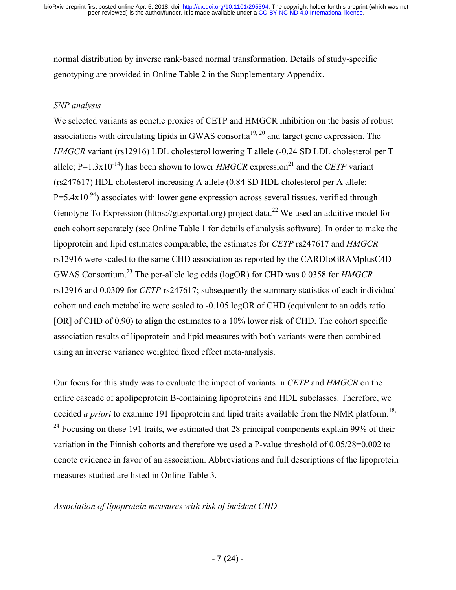normal distribution by inverse rank-based normal transformation. Details of study-specific genotyping are provided in Online Table 2 in the Supplementary Appendix.

#### *SNP analysis*

We selected variants as genetic proxies of CETP and HMGCR inhibition on the basis of robust associations with circulating lipids in GWAS consortia<sup>19, 20</sup> and target gene expression. The *HMGCR* variant (rs12916) LDL cholesterol lowering T allele (-0.24 SD LDL cholesterol per T allele;  $P=1.3x10^{-14}$ ) has been shown to lower *HMGCR* expression<sup>21</sup> and the *CETP* variant (rs247617) HDL cholesterol increasing A allele (0.84 SD HDL cholesterol per A allele;  $P=5.4x10^{-94}$ ) associates with lower gene expression across several tissues, verified through Genotype To Expression (https://gtexportal.org) project data.<sup>22</sup> We used an additive model for each cohort separately (see Online Table 1 for details of analysis software). In order to make the lipoprotein and lipid estimates comparable, the estimates for *CETP* rs247617 and *HMGCR* rs12916 were scaled to the same CHD association as reported by the CARDIoGRAMplusC4D GWAS Consortium. <sup>23</sup> The per-allele log odds (logOR) for CHD was 0.0358 for *HMGCR* rs12916 and 0.0309 for *CETP* rs247617; subsequently the summary statistics of each individual cohort and each metabolite were scaled to -0.105 logOR of CHD (equivalent to an odds ratio [OR] of CHD of 0.90) to align the estimates to a 10% lower risk of CHD. The cohort specific association results of lipoprotein and lipid measures with both variants were then combined using an inverse variance weighted fixed effect meta-analysis.

Our focus for this study was to evaluate the impact of variants in *CETP* and *HMGCR* on the entire cascade of apolipoprotein B-containing lipoproteins and HDL subclasses. Therefore, we decided *a priori* to examine 191 lipoprotein and lipid traits available from the NMR platform. 18,  $24$  Focusing on these 191 traits, we estimated that 28 principal components explain 99% of their variation in the Finnish cohorts and therefore we used a P-value threshold of 0.05/28=0.002 to denote evidence in favor of an association. Abbreviations and full descriptions of the lipoprotein measures studied are listed in Online Table 3.

#### *Association of lipoprotein measures with risk of incident CHD*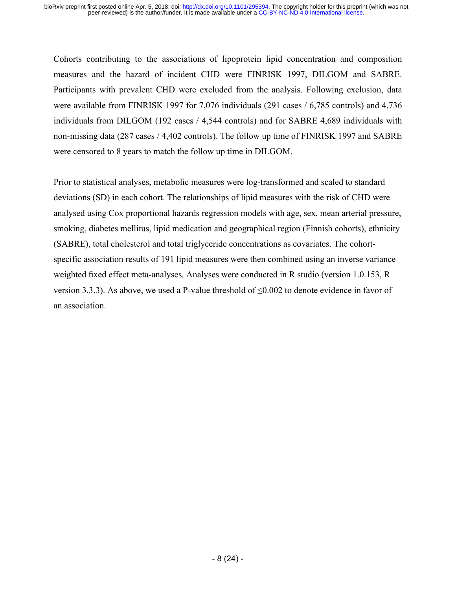Cohorts contributing to the associations of lipoprotein lipid concentration and composition measures and the hazard of incident CHD were FINRISK 1997, DILGOM and SABRE. Participants with prevalent CHD were excluded from the analysis. Following exclusion, data were available from FINRISK 1997 for 7,076 individuals (291 cases / 6,785 controls) and 4,736 individuals from DILGOM (192 cases / 4,544 controls) and for SABRE 4,689 individuals with non-missing data (287 cases / 4,402 controls). The follow up time of FINRISK 1997 and SABRE were censored to 8 years to match the follow up time in DILGOM.

Prior to statistical analyses, metabolic measures were log-transformed and scaled to standard deviations (SD) in each cohort. The relationships of lipid measures with the risk of CHD were analysed using Cox proportional hazards regression models with age, sex, mean arterial pressure, smoking, diabetes mellitus, lipid medication and geographical region (Finnish cohorts), ethnicity (SABRE), total cholesterol and total triglyceride concentrations as covariates. The cohortspecific association results of 191 lipid measures were then combined using an inverse variance weighted fixed effect meta-analyses*.* Analyses were conducted in R studio (version 1.0.153, R version 3.3.3). As above, we used a P-value threshold of  $\leq 0.002$  to denote evidence in favor of an association.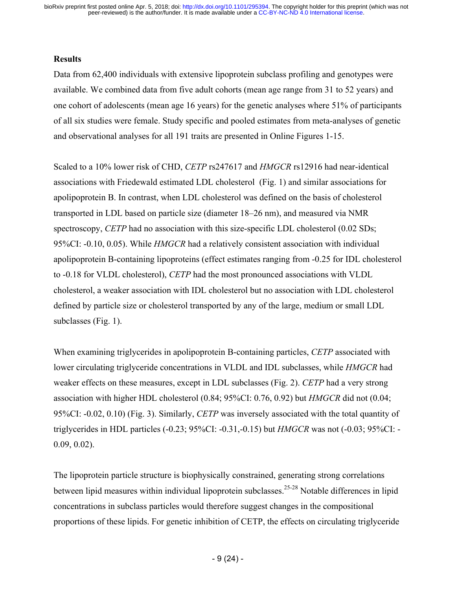#### **Results**

Data from 62,400 individuals with extensive lipoprotein subclass profiling and genotypes were available. We combined data from five adult cohorts (mean age range from 31 to 52 years) and one cohort of adolescents (mean age 16 years) for the genetic analyses where 51% of participants of all six studies were female. Study specific and pooled estimates from meta-analyses of genetic and observational analyses for all 191 traits are presented in Online Figures 1-15.

Scaled to a 10% lower risk of CHD, *CETP* rs247617 and *HMGCR* rs12916 had near-identical associations with Friedewald estimated LDL cholesterol (Fig. 1) and similar associations for apolipoprotein B. In contrast, when LDL cholesterol was defined on the basis of cholesterol transported in LDL based on particle size (diameter 18–26 nm), and measured via NMR spectroscopy, *CETP* had no association with this size-specific LDL cholesterol (0.02 SDs; 95%CI: -0.10, 0.05). While *HMGCR* had a relatively consistent association with individual apolipoprotein B-containing lipoproteins (effect estimates ranging from -0.25 for IDL cholesterol to -0.18 for VLDL cholesterol), *CETP* had the most pronounced associations with VLDL cholesterol, a weaker association with IDL cholesterol but no association with LDL cholesterol defined by particle size or cholesterol transported by any of the large, medium or small LDL subclasses (Fig. 1).

When examining triglycerides in apolipoprotein B-containing particles, *CETP* associated with lower circulating triglyceride concentrations in VLDL and IDL subclasses, while *HMGCR* had weaker effects on these measures, except in LDL subclasses (Fig. 2). *CETP* had a very strong association with higher HDL cholesterol (0.84; 95%CI: 0.76, 0.92) but *HMGCR* did not (0.04; 95%CI: -0.02, 0.10) (Fig. 3). Similarly, *CETP* was inversely associated with the total quantity of triglycerides in HDL particles (-0.23; 95%CI: -0.31,-0.15) but *HMGCR* was not (-0.03; 95%CI: - 0.09, 0.02).

The lipoprotein particle structure is biophysically constrained, generating strong correlations between lipid measures within individual lipoprotein subclasses.<sup>25-28</sup> Notable differences in lipid concentrations in subclass particles would therefore suggest changes in the compositional proportions of these lipids. For genetic inhibition of CETP, the effects on circulating triglyceride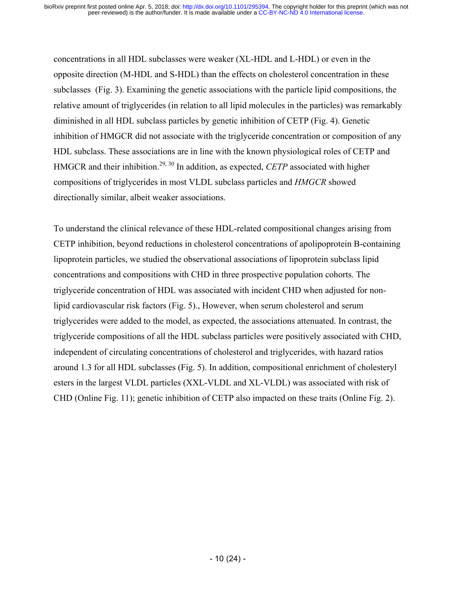concentrations in all HDL subclasses were weaker (XL-HDL and L-HDL) or even in the opposite direction (M-HDL and S-HDL) than the effects on cholesterol concentration in these subclasses (Fig. 3). Examining the genetic associations with the particle lipid compositions, the relative amount of triglycerides (in relation to all lipid molecules in the particles) was remarkably diminished in all HDL subclass particles by genetic inhibition of CETP (Fig. 4). Genetic inhibition of HMGCR did not associate with the triglyceride concentration or composition of any HDL subclass. These associations are in line with the known physiological roles of CETP and HMGCR and their inhibition.<sup>29, 30</sup> In addition, as expected, *CETP* associated with higher compositions of triglycerides in most VLDL subclass particles and *HMGCR* showed directionally similar, albeit weaker associations.

To understand the clinical relevance of these HDL-related compositional changes arising from CETP inhibition, beyond reductions in cholesterol concentrations of apolipoprotein B-containing lipoprotein particles, we studied the observational associations of lipoprotein subclass lipid concentrations and compositions with CHD in three prospective population cohorts. The triglyceride concentration of HDL was associated with incident CHD when adjusted for nonlipid cardiovascular risk factors (Fig. 5)., However, when serum cholesterol and serum triglycerides were added to the model, as expected, the associations attenuated. In contrast, the triglyceride compositions of all the HDL subclass particles were positively associated with CHD, independent of circulating concentrations of cholesterol and triglycerides, with hazard ratios around 1.3 for all HDL subclasses (Fig. 5). In addition, compositional enrichment of cholesteryl esters in the largest VLDL particles (XXL-VLDL and XL-VLDL) was associated with risk of CHD (Online Fig. 11); genetic inhibition of CETP also impacted on these traits (Online Fig. 2).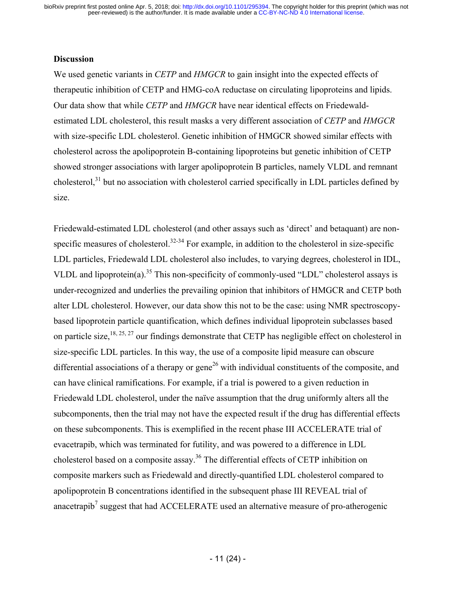#### **Discussion**

We used genetic variants in *CETP* and *HMGCR* to gain insight into the expected effects of therapeutic inhibition of CETP and HMG-coA reductase on circulating lipoproteins and lipids. Our data show that while *CETP* and *HMGCR* have near identical effects on Friedewaldestimated LDL cholesterol, this result masks a very different association of *CETP* and *HMGCR* with size-specific LDL cholesterol. Genetic inhibition of HMGCR showed similar effects with cholesterol across the apolipoprotein B-containing lipoproteins but genetic inhibition of CETP showed stronger associations with larger apolipoprotein B particles, namely VLDL and remnant cholesterol,<sup>31</sup> but no association with cholesterol carried specifically in LDL particles defined by size.

Friedewald-estimated LDL cholesterol (and other assays such as 'direct' and betaquant) are nonspecific measures of cholesterol.<sup>32-34</sup> For example, in addition to the cholesterol in size-specific LDL particles, Friedewald LDL cholesterol also includes, to varying degrees, cholesterol in IDL, VLDL and lipoprotein(a).<sup>35</sup> This non-specificity of commonly-used "LDL" cholesterol assays is under-recognized and underlies the prevailing opinion that inhibitors of HMGCR and CETP both alter LDL cholesterol. However, our data show this not to be the case: using NMR spectroscopybased lipoprotein particle quantification, which defines individual lipoprotein subclasses based on particle size,  $18, 25, 27$  our findings demonstrate that CETP has negligible effect on cholesterol in size-specific LDL particles. In this way, the use of a composite lipid measure can obscure differential associations of a therapy or gene<sup>26</sup> with individual constituents of the composite, and can have clinical ramifications. For example, if a trial is powered to a given reduction in Friedewald LDL cholesterol, under the naïve assumption that the drug uniformly alters all the subcomponents, then the trial may not have the expected result if the drug has differential effects on these subcomponents. This is exemplified in the recent phase III ACCELERATE trial of evacetrapib, which was terminated for futility, and was powered to a difference in LDL cholesterol based on a composite assay.<sup>36</sup> The differential effects of CETP inhibition on composite markers such as Friedewald and directly-quantified LDL cholesterol compared to apolipoprotein B concentrations identified in the subsequent phase III REVEAL trial of anacetrapib<sup>7</sup> suggest that had ACCELERATE used an alternative measure of pro-atherogenic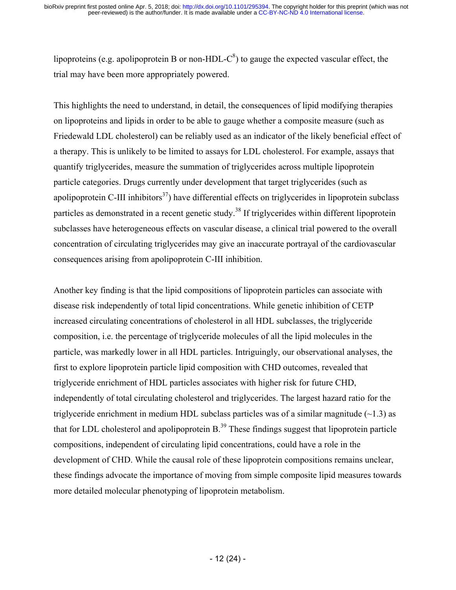lipoproteins (e.g. apolipoprotein B or non-HDL- $C^8$ ) to gauge the expected vascular effect, the trial may have been more appropriately powered.

This highlights the need to understand, in detail, the consequences of lipid modifying therapies on lipoproteins and lipids in order to be able to gauge whether a composite measure (such as Friedewald LDL cholesterol) can be reliably used as an indicator of the likely beneficial effect of a therapy. This is unlikely to be limited to assays for LDL cholesterol. For example, assays that quantify triglycerides, measure the summation of triglycerides across multiple lipoprotein particle categories. Drugs currently under development that target triglycerides (such as apolipoprotein C-III inhibitors<sup>37</sup>) have differential effects on triglycerides in lipoprotein subclass particles as demonstrated in a recent genetic study.<sup>38</sup> If triglycerides within different lipoprotein subclasses have heterogeneous effects on vascular disease, a clinical trial powered to the overall concentration of circulating triglycerides may give an inaccurate portrayal of the cardiovascular consequences arising from apolipoprotein C-III inhibition.

Another key finding is that the lipid compositions of lipoprotein particles can associate with disease risk independently of total lipid concentrations. While genetic inhibition of CETP increased circulating concentrations of cholesterol in all HDL subclasses, the triglyceride composition, i.e. the percentage of triglyceride molecules of all the lipid molecules in the particle, was markedly lower in all HDL particles. Intriguingly, our observational analyses, the first to explore lipoprotein particle lipid composition with CHD outcomes, revealed that triglyceride enrichment of HDL particles associates with higher risk for future CHD, independently of total circulating cholesterol and triglycerides. The largest hazard ratio for the triglyceride enrichment in medium HDL subclass particles was of a similar magnitude  $(\sim 1.3)$  as that for LDL cholesterol and apolipoprotein  $B^{39}$ . These findings suggest that lipoprotein particle compositions, independent of circulating lipid concentrations, could have a role in the development of CHD. While the causal role of these lipoprotein compositions remains unclear, these findings advocate the importance of moving from simple composite lipid measures towards more detailed molecular phenotyping of lipoprotein metabolism.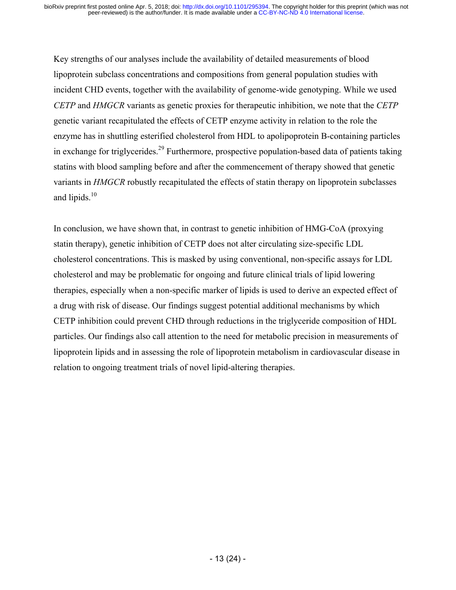Key strengths of our analyses include the availability of detailed measurements of blood lipoprotein subclass concentrations and compositions from general population studies with incident CHD events, together with the availability of genome-wide genotyping. While we used *CETP* and *HMGCR* variants as genetic proxies for therapeutic inhibition, we note that the *CETP* genetic variant recapitulated the effects of CETP enzyme activity in relation to the role the enzyme has in shuttling esterified cholesterol from HDL to apolipoprotein B-containing particles in exchange for triglycerides.<sup>29</sup> Furthermore, prospective population-based data of patients taking statins with blood sampling before and after the commencement of therapy showed that genetic variants in *HMGCR* robustly recapitulated the effects of statin therapy on lipoprotein subclasses and lipids.<sup>10</sup>

In conclusion, we have shown that, in contrast to genetic inhibition of HMG-CoA (proxying statin therapy), genetic inhibition of CETP does not alter circulating size-specific LDL cholesterol concentrations. This is masked by using conventional, non-specific assays for LDL cholesterol and may be problematic for ongoing and future clinical trials of lipid lowering therapies, especially when a non-specific marker of lipids is used to derive an expected effect of a drug with risk of disease. Our findings suggest potential additional mechanisms by which CETP inhibition could prevent CHD through reductions in the triglyceride composition of HDL particles. Our findings also call attention to the need for metabolic precision in measurements of lipoprotein lipids and in assessing the role of lipoprotein metabolism in cardiovascular disease in relation to ongoing treatment trials of novel lipid-altering therapies.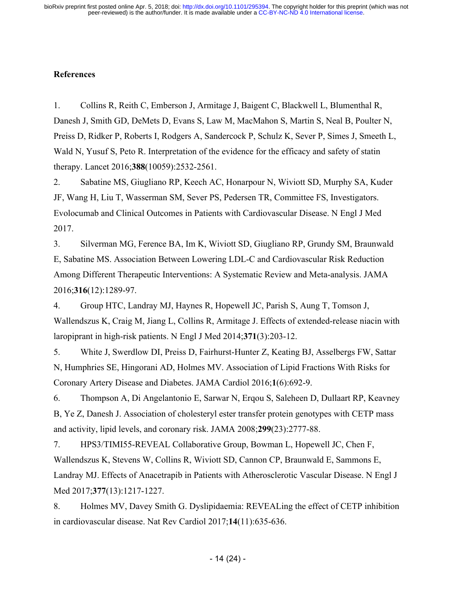### **References**

1. Collins R, Reith C, Emberson J, Armitage J, Baigent C, Blackwell L, Blumenthal R, Danesh J, Smith GD, DeMets D, Evans S, Law M, MacMahon S, Martin S, Neal B, Poulter N, Preiss D, Ridker P, Roberts I, Rodgers A, Sandercock P, Schulz K, Sever P, Simes J, Smeeth L, Wald N, Yusuf S, Peto R. Interpretation of the evidence for the efficacy and safety of statin therapy. Lancet 2016;**388**(10059):2532-2561.

2. Sabatine MS, Giugliano RP, Keech AC, Honarpour N, Wiviott SD, Murphy SA, Kuder JF, Wang H, Liu T, Wasserman SM, Sever PS, Pedersen TR, Committee FS, Investigators. Evolocumab and Clinical Outcomes in Patients with Cardiovascular Disease. N Engl J Med 2017.

3. Silverman MG, Ference BA, Im K, Wiviott SD, Giugliano RP, Grundy SM, Braunwald E, Sabatine MS. Association Between Lowering LDL-C and Cardiovascular Risk Reduction Among Different Therapeutic Interventions: A Systematic Review and Meta-analysis. JAMA 2016;**316**(12):1289-97.

4. Group HTC, Landray MJ, Haynes R, Hopewell JC, Parish S, Aung T, Tomson J, Wallendszus K, Craig M, Jiang L, Collins R, Armitage J. Effects of extended-release niacin with laropiprant in high-risk patients. N Engl J Med 2014;**371**(3):203-12.

5. White J, Swerdlow DI, Preiss D, Fairhurst-Hunter Z, Keating BJ, Asselbergs FW, Sattar N, Humphries SE, Hingorani AD, Holmes MV. Association of Lipid Fractions With Risks for Coronary Artery Disease and Diabetes. JAMA Cardiol 2016;**1**(6):692-9.

6. Thompson A, Di Angelantonio E, Sarwar N, Erqou S, Saleheen D, Dullaart RP, Keavney B, Ye Z, Danesh J. Association of cholesteryl ester transfer protein genotypes with CETP mass and activity, lipid levels, and coronary risk. JAMA 2008;**299**(23):2777-88.

7. HPS3/TIMI55-REVEAL Collaborative Group, Bowman L, Hopewell JC, Chen F, Wallendszus K, Stevens W, Collins R, Wiviott SD, Cannon CP, Braunwald E, Sammons E, Landray MJ. Effects of Anacetrapib in Patients with Atherosclerotic Vascular Disease. N Engl J Med 2017;**377**(13):1217-1227.

8. Holmes MV, Davey Smith G. Dyslipidaemia: REVEALing the effect of CETP inhibition in cardiovascular disease. Nat Rev Cardiol 2017;**14**(11):635-636.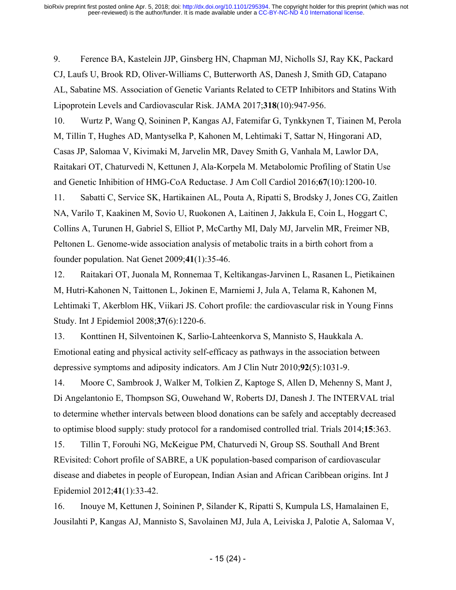9. Ference BA, Kastelein JJP, Ginsberg HN, Chapman MJ, Nicholls SJ, Ray KK, Packard CJ, Laufs U, Brook RD, Oliver-Williams C, Butterworth AS, Danesh J, Smith GD, Catapano AL, Sabatine MS. Association of Genetic Variants Related to CETP Inhibitors and Statins With Lipoprotein Levels and Cardiovascular Risk. JAMA 2017;**318**(10):947-956.

10. Wurtz P, Wang Q, Soininen P, Kangas AJ, Fatemifar G, Tynkkynen T, Tiainen M, Perola M, Tillin T, Hughes AD, Mantyselka P, Kahonen M, Lehtimaki T, Sattar N, Hingorani AD, Casas JP, Salomaa V, Kivimaki M, Jarvelin MR, Davey Smith G, Vanhala M, Lawlor DA, Raitakari OT, Chaturvedi N, Kettunen J, Ala-Korpela M. Metabolomic Profiling of Statin Use and Genetic Inhibition of HMG-CoA Reductase. J Am Coll Cardiol 2016;**67**(10):1200-10.

11. Sabatti C, Service SK, Hartikainen AL, Pouta A, Ripatti S, Brodsky J, Jones CG, Zaitlen NA, Varilo T, Kaakinen M, Sovio U, Ruokonen A, Laitinen J, Jakkula E, Coin L, Hoggart C, Collins A, Turunen H, Gabriel S, Elliot P, McCarthy MI, Daly MJ, Jarvelin MR, Freimer NB, Peltonen L. Genome-wide association analysis of metabolic traits in a birth cohort from a founder population. Nat Genet 2009;**41**(1):35-46.

12. Raitakari OT, Juonala M, Ronnemaa T, Keltikangas-Jarvinen L, Rasanen L, Pietikainen M, Hutri-Kahonen N, Taittonen L, Jokinen E, Marniemi J, Jula A, Telama R, Kahonen M, Lehtimaki T, Akerblom HK, Viikari JS. Cohort profile: the cardiovascular risk in Young Finns Study. Int J Epidemiol 2008;**37**(6):1220-6.

13. Konttinen H, Silventoinen K, Sarlio-Lahteenkorva S, Mannisto S, Haukkala A. Emotional eating and physical activity self-efficacy as pathways in the association between depressive symptoms and adiposity indicators. Am J Clin Nutr 2010;**92**(5):1031-9.

14. Moore C, Sambrook J, Walker M, Tolkien Z, Kaptoge S, Allen D, Mehenny S, Mant J, Di Angelantonio E, Thompson SG, Ouwehand W, Roberts DJ, Danesh J. The INTERVAL trial to determine whether intervals between blood donations can be safely and acceptably decreased to optimise blood supply: study protocol for a randomised controlled trial. Trials 2014;**15**:363.

15. Tillin T, Forouhi NG, McKeigue PM, Chaturvedi N, Group SS. Southall And Brent REvisited: Cohort profile of SABRE, a UK population-based comparison of cardiovascular disease and diabetes in people of European, Indian Asian and African Caribbean origins. Int J Epidemiol 2012;**41**(1):33-42.

16. Inouye M, Kettunen J, Soininen P, Silander K, Ripatti S, Kumpula LS, Hamalainen E, Jousilahti P, Kangas AJ, Mannisto S, Savolainen MJ, Jula A, Leiviska J, Palotie A, Salomaa V,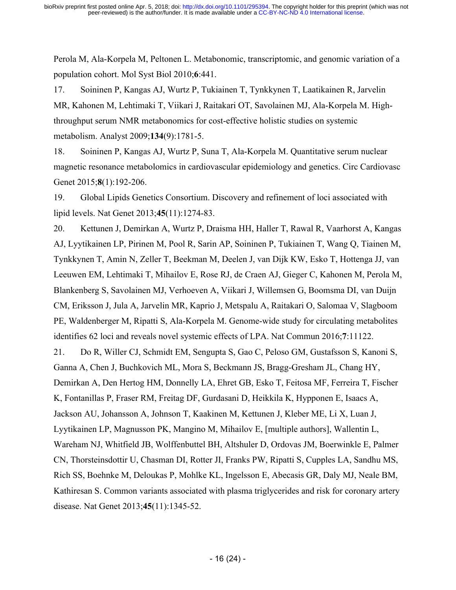Perola M, Ala-Korpela M, Peltonen L. Metabonomic, transcriptomic, and genomic variation of a population cohort. Mol Syst Biol 2010;**6**:441.

17. Soininen P, Kangas AJ, Wurtz P, Tukiainen T, Tynkkynen T, Laatikainen R, Jarvelin MR, Kahonen M, Lehtimaki T, Viikari J, Raitakari OT, Savolainen MJ, Ala-Korpela M. Highthroughput serum NMR metabonomics for cost-effective holistic studies on systemic metabolism. Analyst 2009;**134**(9):1781-5.

18. Soininen P, Kangas AJ, Wurtz P, Suna T, Ala-Korpela M. Quantitative serum nuclear magnetic resonance metabolomics in cardiovascular epidemiology and genetics. Circ Cardiovasc Genet 2015;**8**(1):192-206.

19. Global Lipids Genetics Consortium. Discovery and refinement of loci associated with lipid levels. Nat Genet 2013;**45**(11):1274-83.

20. Kettunen J, Demirkan A, Wurtz P, Draisma HH, Haller T, Rawal R, Vaarhorst A, Kangas AJ, Lyytikainen LP, Pirinen M, Pool R, Sarin AP, Soininen P, Tukiainen T, Wang Q, Tiainen M, Tynkkynen T, Amin N, Zeller T, Beekman M, Deelen J, van Dijk KW, Esko T, Hottenga JJ, van Leeuwen EM, Lehtimaki T, Mihailov E, Rose RJ, de Craen AJ, Gieger C, Kahonen M, Perola M, Blankenberg S, Savolainen MJ, Verhoeven A, Viikari J, Willemsen G, Boomsma DI, van Duijn CM, Eriksson J, Jula A, Jarvelin MR, Kaprio J, Metspalu A, Raitakari O, Salomaa V, Slagboom PE, Waldenberger M, Ripatti S, Ala-Korpela M. Genome-wide study for circulating metabolites identifies 62 loci and reveals novel systemic effects of LPA. Nat Commun 2016;**7**:11122.

21. Do R, Willer CJ, Schmidt EM, Sengupta S, Gao C, Peloso GM, Gustafsson S, Kanoni S, Ganna A, Chen J, Buchkovich ML, Mora S, Beckmann JS, Bragg-Gresham JL, Chang HY, Demirkan A, Den Hertog HM, Donnelly LA, Ehret GB, Esko T, Feitosa MF, Ferreira T, Fischer K, Fontanillas P, Fraser RM, Freitag DF, Gurdasani D, Heikkila K, Hypponen E, Isaacs A, Jackson AU, Johansson A, Johnson T, Kaakinen M, Kettunen J, Kleber ME, Li X, Luan J, Lyytikainen LP, Magnusson PK, Mangino M, Mihailov E, [multiple authors], Wallentin L, Wareham NJ, Whitfield JB, Wolffenbuttel BH, Altshuler D, Ordovas JM, Boerwinkle E, Palmer CN, Thorsteinsdottir U, Chasman DI, Rotter JI, Franks PW, Ripatti S, Cupples LA, Sandhu MS, Rich SS, Boehnke M, Deloukas P, Mohlke KL, Ingelsson E, Abecasis GR, Daly MJ, Neale BM, Kathiresan S. Common variants associated with plasma triglycerides and risk for coronary artery disease. Nat Genet 2013;**45**(11):1345-52.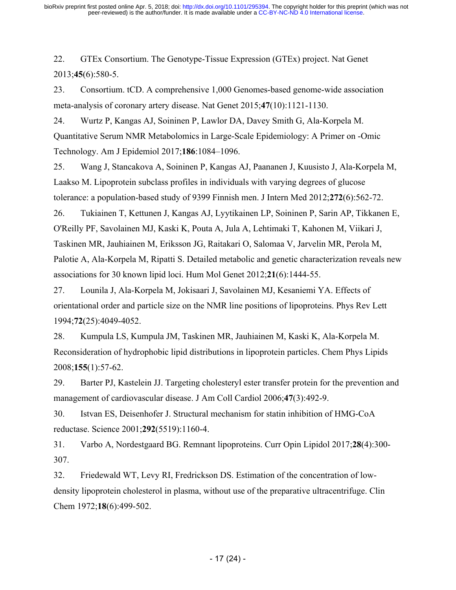22. GTEx Consortium. The Genotype-Tissue Expression (GTEx) project. Nat Genet 2013;**45**(6):580-5.

23. Consortium. tCD. A comprehensive 1,000 Genomes-based genome-wide association meta-analysis of coronary artery disease. Nat Genet 2015;**47**(10):1121-1130.

24. Wurtz P, Kangas AJ, Soininen P, Lawlor DA, Davey Smith G, Ala-Korpela M. Quantitative Serum NMR Metabolomics in Large-Scale Epidemiology: A Primer on -Omic Technology. Am J Epidemiol 2017;**186**:1084–1096.

25. Wang J, Stancakova A, Soininen P, Kangas AJ, Paananen J, Kuusisto J, Ala-Korpela M, Laakso M. Lipoprotein subclass profiles in individuals with varying degrees of glucose tolerance: a population-based study of 9399 Finnish men. J Intern Med 2012;**272**(6):562-72.

26. Tukiainen T, Kettunen J, Kangas AJ, Lyytikainen LP, Soininen P, Sarin AP, Tikkanen E, O'Reilly PF, Savolainen MJ, Kaski K, Pouta A, Jula A, Lehtimaki T, Kahonen M, Viikari J, Taskinen MR, Jauhiainen M, Eriksson JG, Raitakari O, Salomaa V, Jarvelin MR, Perola M, Palotie A, Ala-Korpela M, Ripatti S. Detailed metabolic and genetic characterization reveals new associations for 30 known lipid loci. Hum Mol Genet 2012;**21**(6):1444-55.

27. Lounila J, Ala-Korpela M, Jokisaari J, Savolainen MJ, Kesaniemi YA. Effects of orientational order and particle size on the NMR line positions of lipoproteins. Phys Rev Lett 1994;**72**(25):4049-4052.

28. Kumpula LS, Kumpula JM, Taskinen MR, Jauhiainen M, Kaski K, Ala-Korpela M. Reconsideration of hydrophobic lipid distributions in lipoprotein particles. Chem Phys Lipids 2008;**155**(1):57-62.

29. Barter PJ, Kastelein JJ. Targeting cholesteryl ester transfer protein for the prevention and management of cardiovascular disease. J Am Coll Cardiol 2006;**47**(3):492-9.

30. Istvan ES, Deisenhofer J. Structural mechanism for statin inhibition of HMG-CoA reductase. Science 2001;**292**(5519):1160-4.

31. Varbo A, Nordestgaard BG. Remnant lipoproteins. Curr Opin Lipidol 2017;**28**(4):300- 307.

32. Friedewald WT, Levy RI, Fredrickson DS. Estimation of the concentration of lowdensity lipoprotein cholesterol in plasma, without use of the preparative ultracentrifuge. Clin Chem 1972;**18**(6):499-502.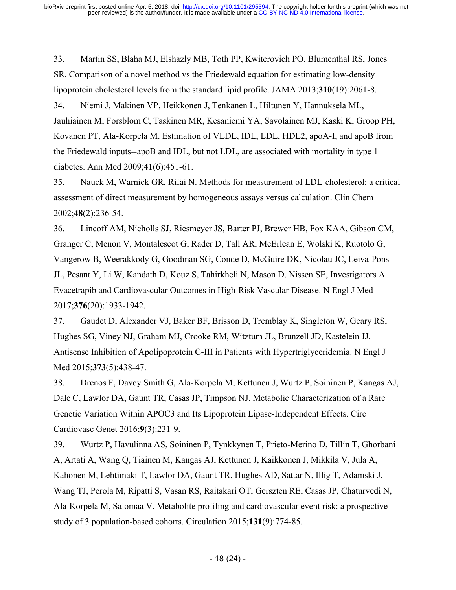33. Martin SS, Blaha MJ, Elshazly MB, Toth PP, Kwiterovich PO, Blumenthal RS, Jones SR. Comparison of a novel method vs the Friedewald equation for estimating low-density lipoprotein cholesterol levels from the standard lipid profile. JAMA 2013;**310**(19):2061-8.

34. Niemi J, Makinen VP, Heikkonen J, Tenkanen L, Hiltunen Y, Hannuksela ML, Jauhiainen M, Forsblom C, Taskinen MR, Kesaniemi YA, Savolainen MJ, Kaski K, Groop PH, Kovanen PT, Ala-Korpela M. Estimation of VLDL, IDL, LDL, HDL2, apoA-I, and apoB from the Friedewald inputs--apoB and IDL, but not LDL, are associated with mortality in type 1 diabetes. Ann Med 2009;**41**(6):451-61.

35. Nauck M, Warnick GR, Rifai N. Methods for measurement of LDL-cholesterol: a critical assessment of direct measurement by homogeneous assays versus calculation. Clin Chem 2002;**48**(2):236-54.

36. Lincoff AM, Nicholls SJ, Riesmeyer JS, Barter PJ, Brewer HB, Fox KAA, Gibson CM, Granger C, Menon V, Montalescot G, Rader D, Tall AR, McErlean E, Wolski K, Ruotolo G, Vangerow B, Weerakkody G, Goodman SG, Conde D, McGuire DK, Nicolau JC, Leiva-Pons JL, Pesant Y, Li W, Kandath D, Kouz S, Tahirkheli N, Mason D, Nissen SE, Investigators A. Evacetrapib and Cardiovascular Outcomes in High-Risk Vascular Disease. N Engl J Med 2017;**376**(20):1933-1942.

37. Gaudet D, Alexander VJ, Baker BF, Brisson D, Tremblay K, Singleton W, Geary RS, Hughes SG, Viney NJ, Graham MJ, Crooke RM, Witztum JL, Brunzell JD, Kastelein JJ. Antisense Inhibition of Apolipoprotein C-III in Patients with Hypertriglyceridemia. N Engl J Med 2015;**373**(5):438-47.

38. Drenos F, Davey Smith G, Ala-Korpela M, Kettunen J, Wurtz P, Soininen P, Kangas AJ, Dale C, Lawlor DA, Gaunt TR, Casas JP, Timpson NJ. Metabolic Characterization of a Rare Genetic Variation Within APOC3 and Its Lipoprotein Lipase-Independent Effects. Circ Cardiovasc Genet 2016;**9**(3):231-9.

39. Wurtz P, Havulinna AS, Soininen P, Tynkkynen T, Prieto-Merino D, Tillin T, Ghorbani A, Artati A, Wang Q, Tiainen M, Kangas AJ, Kettunen J, Kaikkonen J, Mikkila V, Jula A, Kahonen M, Lehtimaki T, Lawlor DA, Gaunt TR, Hughes AD, Sattar N, Illig T, Adamski J, Wang TJ, Perola M, Ripatti S, Vasan RS, Raitakari OT, Gerszten RE, Casas JP, Chaturvedi N, Ala-Korpela M, Salomaa V. Metabolite profiling and cardiovascular event risk: a prospective study of 3 population-based cohorts. Circulation 2015;**131**(9):774-85.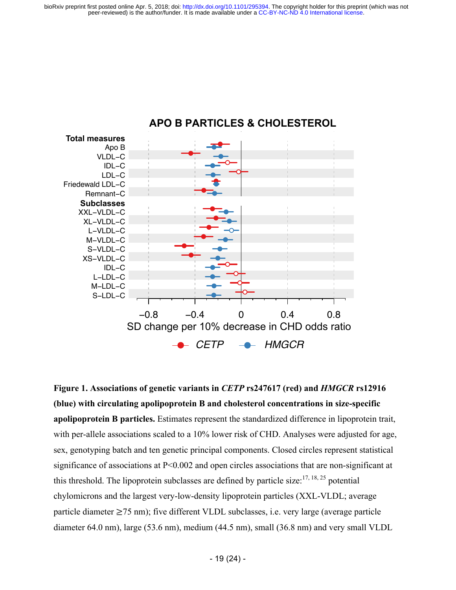

## **APO B PARTICLES & CHOLESTEROL**

**Figure 1. Associations of genetic variants in** *CETP* **rs247617 (red) and** *HMGCR* **rs12916 (blue) with circulating apolipoprotein B and cholesterol concentrations in size-specific apolipoprotein B particles.** Estimates represent the standardized difference in lipoprotein trait, with per-allele associations scaled to a 10% lower risk of CHD. Analyses were adjusted for age, sex, genotyping batch and ten genetic principal components. Closed circles represent statistical significance of associations at P<0.002 and open circles associations that are non-significant at this threshold. The lipoprotein subclasses are defined by particle size:  $17, 18, 25$  potential chylomicrons and the largest very-low-density lipoprotein particles (XXL-VLDL; average particle diameter  $\geq$ 75 nm); five different VLDL subclasses, i.e. very large (average particle diameter 64.0 nm), large (53.6 nm), medium (44.5 nm), small (36.8 nm) and very small VLDL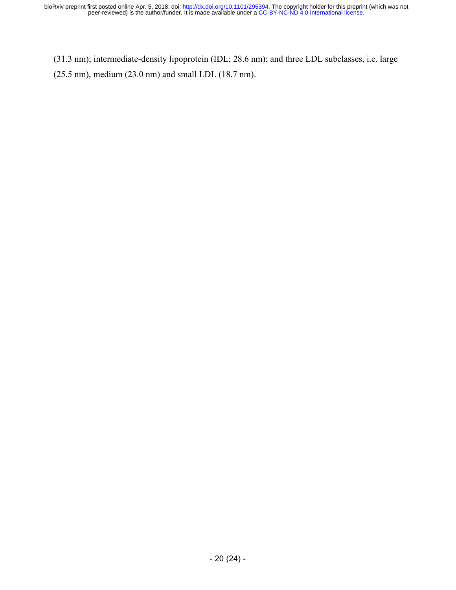(31.3 nm); intermediate-density lipoprotein (IDL; 28.6 nm); and three LDL subclasses, i.e. large (25.5 nm), medium (23.0 nm) and small LDL (18.7 nm).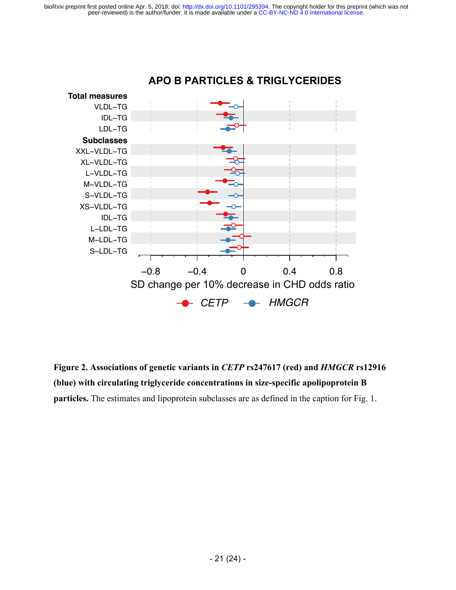

**Figure 2. Associations of genetic variants in** *CETP* **rs247617 (red) and** *HMGCR* **rs12916 (blue) with circulating triglyceride concentrations in size-specific apolipoprotein B particles.** The estimates and lipoprotein subclasses are as defined in the caption for Fig. 1.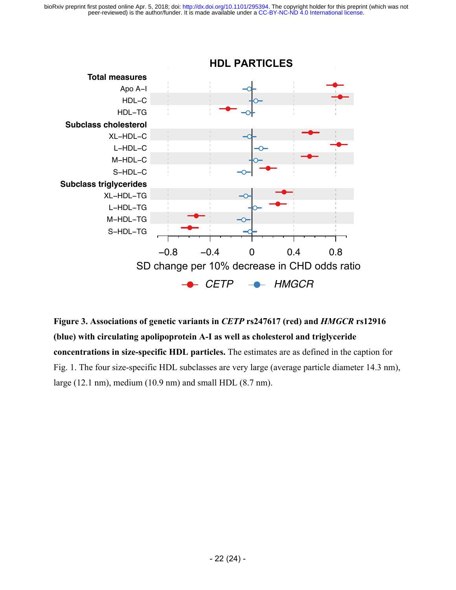

**Figure 3. Associations of genetic variants in** *CETP* **rs247617 (red) and** *HMGCR* **rs12916 (blue) with circulating apolipoprotein A-I as well as cholesterol and triglyceride concentrations in size-specific HDL particles.** The estimates are as defined in the caption for Fig. 1. The four size-specific HDL subclasses are very large (average particle diameter 14.3 nm), large (12.1 nm), medium (10.9 nm) and small HDL (8.7 nm).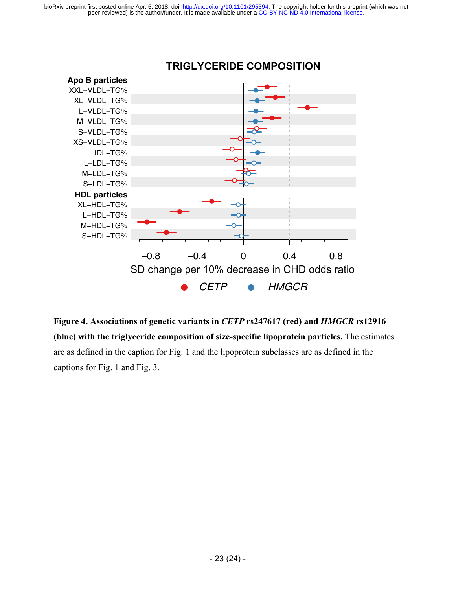

## **TRIGLYCERIDE COMPOSITION**

**Figure 4. Associations of genetic variants in** *CETP* **rs247617 (red) and** *HMGCR* **rs12916 (blue) with the triglyceride composition of size-specific lipoprotein particles.** The estimates are as defined in the caption for Fig. 1 and the lipoprotein subclasses are as defined in the captions for Fig. 1 and Fig. 3.